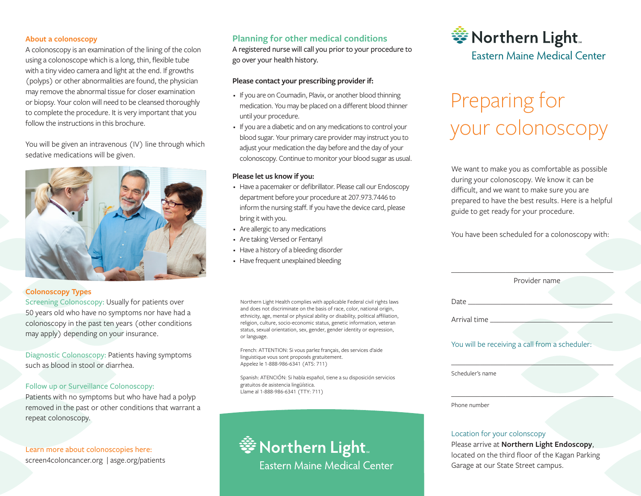#### **About a colonoscopy**

A colonoscopy is an examination of the lining of the colon using a colonoscope which is a long, thin, flexible tube with a tiny video camera and light at the end. If growths (polyps) or other abnormalities are found, the physician may remove the abnormal tissue for closer examination or biopsy. Your colon will need to be cleansed thoroughly to complete the procedure. It is very important that you follow the instructions in this brochure.

You will be given an intravenous (IV) line through which sedative medications will be given.



#### **Colonoscopy Types**

Screening Colonoscopy: Usually for patients over 50 years old who have no symptoms nor have had a colonoscopy in the past ten years (other conditions may apply) depending on your insurance.

Diagnostic Colonoscopy: Patients having symptoms such as blood in stool or diarrhea.

#### Follow up or Surveillance Colonoscopy:

Patients with no symptoms but who have had a polyp removed in the past or other conditions that warrant a repeat colonoscopy.

Learn more about colonoscopies here: screen4coloncancer.org | asge.org/patients

#### **Planning for other medical conditions**

A registered nurse will call you prior to your procedure to go over your health history.

#### **Please contact your prescribing provider if:**

- If you are on Coumadin, Plavix, or another blood thinning medication. You may be placed on a different blood thinner until your procedure.
- If you are a diabetic and on any medications to control your blood sugar. Your primary care provider may instruct you to adjust your medication the day before and the day of your colonoscopy. Continue to monitor your blood sugar as usual.

#### **Please let us know if you:**

- Have a pacemaker or defibrillator. Please call our Endoscopy department before your procedure at 207.973.7446 to inform the nursing staff. If you have the device card, please bring it with you.
- Are allergic to any medications
- Are taking Versed or Fentanyl
- Have a history of a bleeding disorder
- Have frequent unexplained bleeding

Northern Light Health complies with applicable Federal civil rights laws and does not discriminate on the basis of race, color, national origin, ethnicity, age, mental or physical ability or disability, political affiliation, religion, culture, socio-economic status, genetic information, veteran status, sexual orientation, sex, gender, gender identity or expression, or language.

French: ATTENTION: Si vous parlez français, des services d'aide linguistique vous sont proposés gratuitement. Appelez le 1-888-986-6341 (ATS: 711)

Spanish: ATENCIÓN: Si habla español, tiene a su disposición servicios gratuitos de asistencia lingüística. Llame al 1-888-986-6341 (TTY: 711)



# \*\* Northern Light **Fastern Maine Medical Center**

# Preparing for your colonoscopy

We want to make you as comfortable as possible during your colonoscopy. We know it can be difficult, and we want to make sure you are prepared to have the best results. Here is a helpful guide to get ready for your procedure.

You have been scheduled for a colonoscopy with:

|                  | Provider name                                  |
|------------------|------------------------------------------------|
| Date             |                                                |
| Arrival time     |                                                |
|                  | You will be receiving a call from a scheduler: |
| Scheduler's name |                                                |
|                  |                                                |

#### Location for your colonscopy

Please arrive at **Northern Light Endoscopy**, located on the third floor of the Kagan Parking Garage at our State Street campus.